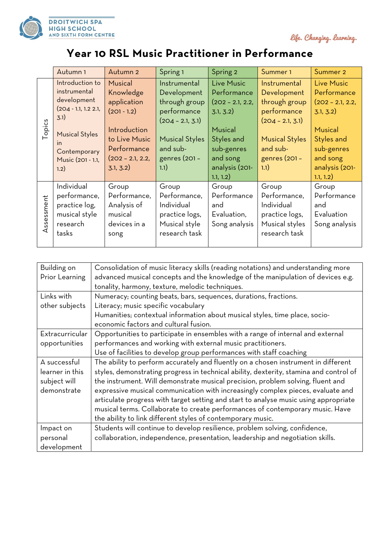

life. Changing. learning.

## **Year 10 RSL Music Practitioner in Performance**

|                | Autumn <sub>1</sub>                                                                                                                                          | Autumn 2                                                                                                                                | Spring 1                                                                                                                                        | Spring 2                                                                                                                                       | Summer <sub>1</sub>                                                                                                                             | Summer 2                                                                                                                                              |
|----------------|--------------------------------------------------------------------------------------------------------------------------------------------------------------|-----------------------------------------------------------------------------------------------------------------------------------------|-------------------------------------------------------------------------------------------------------------------------------------------------|------------------------------------------------------------------------------------------------------------------------------------------------|-------------------------------------------------------------------------------------------------------------------------------------------------|-------------------------------------------------------------------------------------------------------------------------------------------------------|
| Topics         | Introduction to<br>instrumental<br>development<br>$(204 - 1.1, 1.2 2.1,$<br>3.1)<br><b>Musical Styles</b><br>in<br>Contemporary<br>Music (201 - 1.1,<br>1.2) | Musical<br>Knowledge<br>application<br>$(201 - 1.2)$<br>Introduction<br>to Live Music<br>Performance<br>$(202 - 2.1, 2.2,$<br>3.1, 3.2) | Instrumental<br>Development<br>through group<br>performance<br>$(204 - 2.1, 3.1)$<br><b>Musical Styles</b><br>and sub-<br>genres (201 -<br>1.1) | Live Music<br>Performance<br>$(202 - 2.1, 2.2,$<br>3.1, 3.2)<br>Musical<br>Styles and<br>sub-genres<br>and song<br>analysis (201-<br>1.1, 1.2) | Instrumental<br>Development<br>through group<br>performance<br>$(204 - 2.1, 3.1)$<br><b>Musical Styles</b><br>and sub-<br>genres (201 -<br>1.1) | <b>Live Music</b><br>Performance<br>$(202 - 2.1, 2.2,$<br>3.1, 3.2)<br>Musical<br>Styles and<br>sub-genres<br>and song<br>analysis (201-<br>1.1, 1.2) |
| ssessment<br>◁ | Individual<br>performance,<br>practice log,<br>musical style<br>research<br>tasks                                                                            | Group<br>Performance,<br>Analysis of<br>musical<br>devices in a<br>song                                                                 | Group<br>Performance,<br>Individual<br>practice logs,<br>Musical style<br>research task                                                         | Group<br>Performance<br>and<br>Evaluation,<br>Song analysis                                                                                    | Group<br>Performance,<br>Individual<br>practice logs,<br>Musical styles<br>research task                                                        | Group<br>Performance<br>and<br>Evaluation<br>Song analysis                                                                                            |

| Building on     | Consolidation of music literacy skills (reading notations) and understanding more      |  |  |
|-----------------|----------------------------------------------------------------------------------------|--|--|
| Prior Learning  | advanced musical concepts and the knowledge of the manipulation of devices e.g.        |  |  |
|                 | tonality, harmony, texture, melodic techniques.                                        |  |  |
| Links with      | Numeracy; counting beats, bars, sequences, durations, fractions.                       |  |  |
| other subjects  | Literacy; music specific vocabulary                                                    |  |  |
|                 | Humanities; contextual information about musical styles, time place, socio-            |  |  |
|                 | economic factors and cultural fusion.                                                  |  |  |
| Extracurricular | Opportunities to participate in ensembles with a range of internal and external        |  |  |
| opportunities   | performances and working with external music practitioners.                            |  |  |
|                 | Use of facilities to develop group performances with staff coaching                    |  |  |
| A successful    | The ability to perform accurately and fluently on a chosen instrument in different     |  |  |
| learner in this | styles, demonstrating progress in technical ability, dexterity, stamina and control of |  |  |
| subject will    | the instrument. Will demonstrate musical precision, problem solving, fluent and        |  |  |
| demonstrate     | expressive musical communication with increasingly complex pieces, evaluate and        |  |  |
|                 | articulate progress with target setting and start to analyse music using appropriate   |  |  |
|                 | musical terms. Collaborate to create performances of contemporary music. Have          |  |  |
|                 | the ability to link different styles of contemporary music.                            |  |  |
| Impact on       | Students will continue to develop resilience, problem solving, confidence,             |  |  |
| personal        | collaboration, independence, presentation, leadership and negotiation skills.          |  |  |
| development     |                                                                                        |  |  |